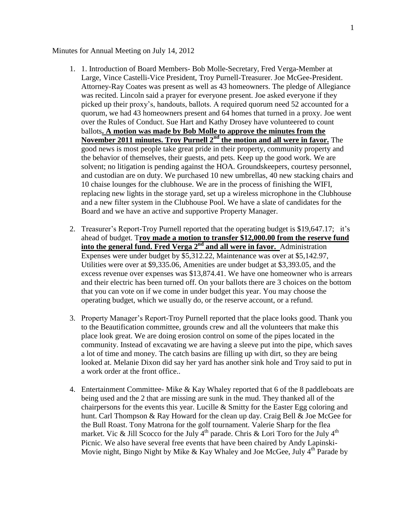## Minutes for Annual Meeting on July 14, 2012

- 1. 1. Introduction of Board Members- Bob Molle-Secretary, Fred Verga-Member at Large, Vince Castelli-Vice President, Troy Purnell-Treasurer. Joe McGee-President. Attorney-Ray Coates was present as well as 43 homeowners. The pledge of Allegiance was recited. Lincoln said a prayer for everyone present. Joe asked everyone if they picked up their proxy's, handouts, ballots. A required quorum need 52 accounted for a quorum, we had 43 homeowners present and 64 homes that turned in a proxy. Joe went over the Rules of Conduct. Sue Hart and Kathy Drosey have volunteered to count ballots**. A motion was made by Bob Molle to approve the minutes from the November 2011 minutes. Troy Purnell 2nd the motion and all were in favor.** The good news is most people take great pride in their property, community property and the behavior of themselves, their guests, and pets. Keep up the good work. We are solvent; no litigation is pending against the HOA. Groundskeepers, courtesy personnel, and custodian are on duty. We purchased 10 new umbrellas, 40 new stacking chairs and 10 chaise lounges for the clubhouse. We are in the process of finishing the WIFI, replacing new lights in the storage yard, set up a wireless microphone in the Clubhouse and a new filter system in the Clubhouse Pool. We have a slate of candidates for the Board and we have an active and supportive Property Manager.
- 2. Treasurer's Report-Troy Purnell reported that the operating budget is \$19,647.17; it's ahead of budget. T**roy made a motion to transfer \$12,000.00 from the reserve fund into the general fund. Fred Verga 2nd and all were in favor.** Administration Expenses were under budget by \$5,312.22, Maintenance was over at \$5,142.97, Utilities were over at \$9,335.06, Amenities are under budget at \$3,393.05, and the excess revenue over expenses was \$13,874.41. We have one homeowner who is arrears and their electric has been turned off. On your ballots there are 3 choices on the bottom that you can vote on if we come in under budget this year. You may choose the operating budget, which we usually do, or the reserve account, or a refund.
- 3. Property Manager's Report-Troy Purnell reported that the place looks good. Thank you to the Beautification committee, grounds crew and all the volunteers that make this place look great. We are doing erosion control on some of the pipes located in the community. Instead of excavating we are having a sleeve put into the pipe, which saves a lot of time and money. The catch basins are filling up with dirt, so they are being looked at. Melanie Dixon did say her yard has another sink hole and Troy said to put in a work order at the front office..
- 4. Entertainment Committee- Mike & Kay Whaley reported that 6 of the 8 paddleboats are being used and the 2 that are missing are sunk in the mud. They thanked all of the chairpersons for the events this year. Lucille & Smitty for the Easter Egg coloring and hunt. Carl Thompson & Ray Howard for the clean up day. Craig Bell & Joe McGee for the Bull Roast. Tony Matrona for the golf tournament. Valerie Sharp for the flea market. Vic & Jill Scocco for the July  $4<sup>th</sup>$  parade. Chris & Lori Toro for the July  $4<sup>th</sup>$ Picnic. We also have several free events that have been chaired by Andy Lapinski-Movie night, Bingo Night by Mike & Kay Whaley and Joe McGee, July  $4<sup>th</sup>$  Parade by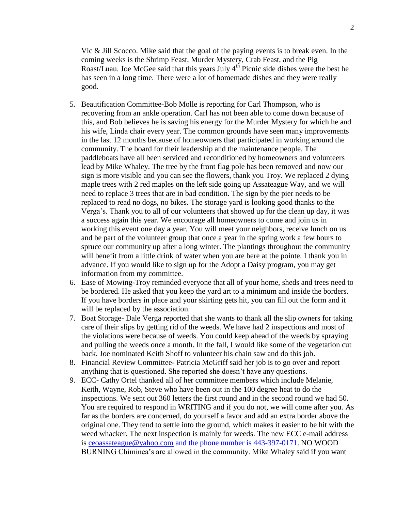Vic & Jill Scocco. Mike said that the goal of the paying events is to break even. In the coming weeks is the Shrimp Feast, Murder Mystery, Crab Feast, and the Pig Roast/Luau. Joe McGee said that this years July  $4<sup>th</sup>$  Picnic side dishes were the best he has seen in a long time. There were a lot of homemade dishes and they were really good.

- 5. Beautification Committee-Bob Molle is reporting for Carl Thompson, who is recovering from an ankle operation. Carl has not been able to come down because of this, and Bob believes he is saving his energy for the Murder Mystery for which he and his wife, Linda chair every year. The common grounds have seen many improvements in the last 12 months because of homeowners that participated in working around the community. The board for their leadership and the maintenance people. The paddleboats have all been serviced and reconditioned by homeowners and volunteers lead by Mike Whaley. The tree by the front flag pole has been removed and now our sign is more visible and you can see the flowers, thank you Troy. We replaced 2 dying maple trees with 2 red maples on the left side going up Assateague Way, and we will need to replace 3 trees that are in bad condition. The sign by the pier needs to be replaced to read no dogs, no bikes. The storage yard is looking good thanks to the Verga's. Thank you to all of our volunteers that showed up for the clean up day, it was a success again this year. We encourage all homeowners to come and join us in working this event one day a year. You will meet your neighbors, receive lunch on us and be part of the volunteer group that once a year in the spring work a few hours to spruce our community up after a long winter. The plantings throughout the community will benefit from a little drink of water when you are here at the pointe. I thank you in advance. If you would like to sign up for the Adopt a Daisy program, you may get information from my committee.
- 6. Ease of Mowing-Troy reminded everyone that all of your home, sheds and trees need to be bordered. He asked that you keep the yard art to a minimum and inside the borders. If you have borders in place and your skirting gets hit, you can fill out the form and it will be replaced by the association.
- 7. Boat Storage- Dale Verga reported that she wants to thank all the slip owners for taking care of their slips by getting rid of the weeds. We have had 2 inspections and most of the violations were because of weeds. You could keep ahead of the weeds by spraying and pulling the weeds once a month. In the fall, I would like some of the vegetation cut back. Joe nominated Keith Shoff to volunteer his chain saw and do this job.
- 8. Financial Review Committee- Patricia McGriff said her job is to go over and report anything that is questioned. She reported she doesn't have any questions.
- 9. ECC- Cathy Ortel thanked all of her committee members which include Melanie, Keith, Wayne, Rob, Steve who have been out in the 100 degree heat to do the inspections. We sent out 360 letters the first round and in the second round we had 50. You are required to respond in WRITING and if you do not, we will come after you. As far as the borders are concerned, do yourself a favor and add an extra border above the original one. They tend to settle into the ground, which makes it easier to be hit with the weed whacker. The next inspection is mainly for weeds. The new ECC e-mail address is ceoassateague@yahoo.com and the phone number is 443-397-0171. NO WOOD BURNING Chiminea's are allowed in the community. Mike Whaley said if you want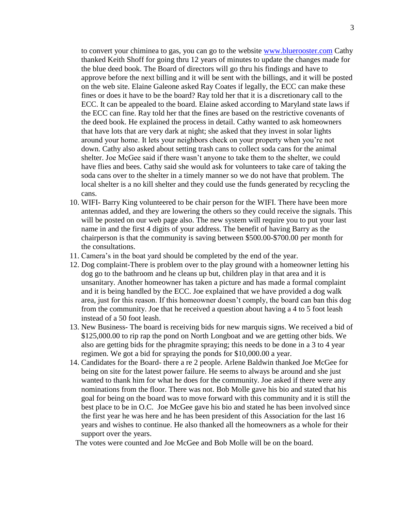to convert your chiminea to gas, you can go to the website [www.bluerooster.com](http://www.bluerooster.com/) Cathy thanked Keith Shoff for going thru 12 years of minutes to update the changes made for the blue deed book. The Board of directors will go thru his findings and have to approve before the next billing and it will be sent with the billings, and it will be posted on the web site. Elaine Galeone asked Ray Coates if legally, the ECC can make these fines or does it have to be the board? Ray told her that it is a discretionary call to the ECC. It can be appealed to the board. Elaine asked according to Maryland state laws if the ECC can fine. Ray told her that the fines are based on the restrictive covenants of the deed book. He explained the process in detail. Cathy wanted to ask homeowners that have lots that are very dark at night; she asked that they invest in solar lights around your home. It lets your neighbors check on your property when you're not down. Cathy also asked about setting trash cans to collect soda cans for the animal shelter. Joe McGee said if there wasn't anyone to take them to the shelter, we could have flies and bees. Cathy said she would ask for volunteers to take care of taking the soda cans over to the shelter in a timely manner so we do not have that problem. The local shelter is a no kill shelter and they could use the funds generated by recycling the cans.

- 10. WIFI- Barry King volunteered to be chair person for the WIFI. There have been more antennas added, and they are lowering the others so they could receive the signals. This will be posted on our web page also. The new system will require you to put your last name in and the first 4 digits of your address. The benefit of having Barry as the chairperson is that the community is saving between \$500.00-\$700.00 per month for the consultations.
- 11. Camera's in the boat yard should be completed by the end of the year.
- 12. Dog complaint-There is problem over to the play ground with a homeowner letting his dog go to the bathroom and he cleans up but, children play in that area and it is unsanitary. Another homeowner has taken a picture and has made a formal complaint and it is being handled by the ECC. Joe explained that we have provided a dog walk area, just for this reason. If this homeowner doesn't comply, the board can ban this dog from the community. Joe that he received a question about having a 4 to 5 foot leash instead of a 50 foot leash.
- 13. New Business- The board is receiving bids for new marquis signs. We received a bid of \$125,000.00 to rip rap the pond on North Longboat and we are getting other bids. We also are getting bids for the phragmite spraying; this needs to be done in a 3 to 4 year regimen. We got a bid for spraying the ponds for \$10,000.00 a year.
- 14. Candidates for the Board- there a re 2 people. Arlene Baldwin thanked Joe McGee for being on site for the latest power failure. He seems to always be around and she just wanted to thank him for what he does for the community. Joe asked if there were any nominations from the floor. There was not. Bob Molle gave his bio and stated that his goal for being on the board was to move forward with this community and it is still the best place to be in O.C. Joe McGee gave his bio and stated he has been involved since the first year he was here and he has been president of this Association for the last 16 years and wishes to continue. He also thanked all the homeowners as a whole for their support over the years.

The votes were counted and Joe McGee and Bob Molle will be on the board.